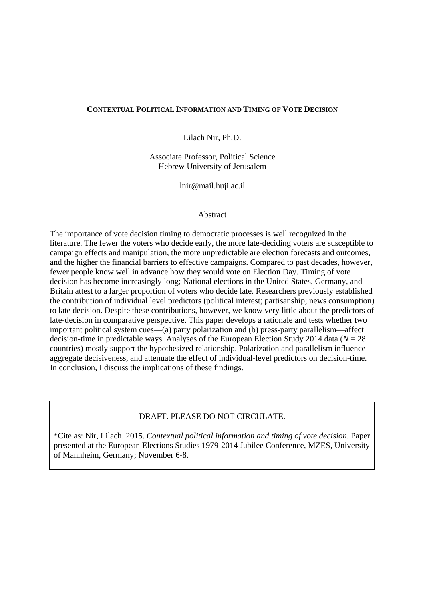# **CONTEXTUAL POLITICAL INFORMATION AND TIMING OF VOTE DECISION**

Lilach Nir, Ph.D.

Associate Professor, Political Science Hebrew University of Jerusalem

lnir@mail.huji.ac.il

# Abstract

The importance of vote decision timing to democratic processes is well recognized in the literature. The fewer the voters who decide early, the more late-deciding voters are susceptible to campaign effects and manipulation, the more unpredictable are election forecasts and outcomes, and the higher the financial barriers to effective campaigns. Compared to past decades, however, fewer people know well in advance how they would vote on Election Day. Timing of vote decision has become increasingly long; National elections in the United States, Germany, and Britain attest to a larger proportion of voters who decide late. Researchers previously established the contribution of individual level predictors (political interest; partisanship; news consumption) to late decision. Despite these contributions, however, we know very little about the predictors of late-decision in comparative perspective. This paper develops a rationale and tests whether two important political system cues—(a) party polarization and (b) press-party parallelism—affect decision-time in predictable ways. Analyses of the European Election Study 2014 data (*N* = 28 countries) mostly support the hypothesized relationship. Polarization and parallelism influence aggregate decisiveness, and attenuate the effect of individual-level predictors on decision-time. In conclusion, I discuss the implications of these findings.

# DRAFT. PLEASE DO NOT CIRCULATE.

\*Cite as: Nir, Lilach. 2015. *Contextual political information and timing of vote decision*. Paper presented at the European Elections Studies 1979-2014 Jubilee Conference, MZES, University of Mannheim, Germany; November 6-8.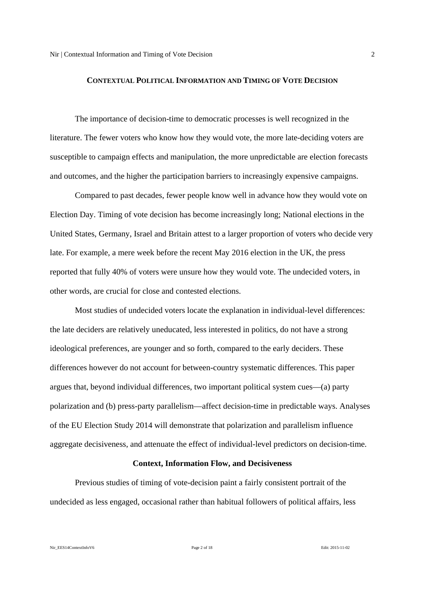#### **CONTEXTUAL POLITICAL INFORMATION AND TIMING OF VOTE DECISION**

The importance of decision-time to democratic processes is well recognized in the literature. The fewer voters who know how they would vote, the more late-deciding voters are susceptible to campaign effects and manipulation, the more unpredictable are election forecasts and outcomes, and the higher the participation barriers to increasingly expensive campaigns.

Compared to past decades, fewer people know well in advance how they would vote on Election Day. Timing of vote decision has become increasingly long; National elections in the United States, Germany, Israel and Britain attest to a larger proportion of voters who decide very late. For example, a mere week before the recent May 2016 election in the UK, the press reported that fully 40% of voters were unsure how they would vote. The undecided voters, in other words, are crucial for close and contested elections.

Most studies of undecided voters locate the explanation in individual-level differences: the late deciders are relatively uneducated, less interested in politics, do not have a strong ideological preferences, are younger and so forth, compared to the early deciders. These differences however do not account for between-country systematic differences. This paper argues that, beyond individual differences, two important political system cues—(a) party polarization and (b) press-party parallelism—affect decision-time in predictable ways. Analyses of the EU Election Study 2014 will demonstrate that polarization and parallelism influence aggregate decisiveness, and attenuate the effect of individual-level predictors on decision-time.

#### **Context, Information Flow, and Decisiveness**

Previous studies of timing of vote-decision paint a fairly consistent portrait of the undecided as less engaged, occasional rather than habitual followers of political affairs, less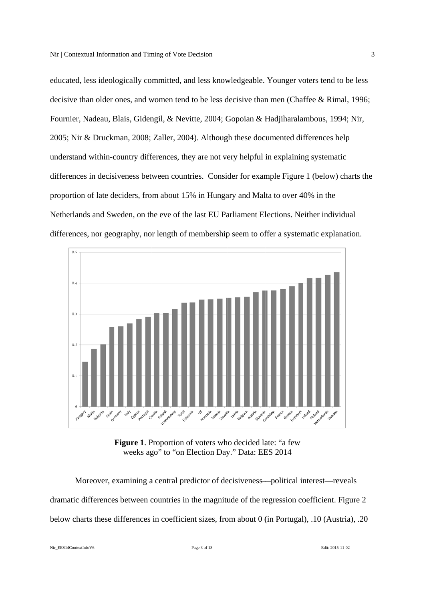educated, less ideologically committed, and less knowledgeable. Younger voters tend to be less decisive than older ones, and women tend to be less decisive than men (Chaffee & Rimal, 1996; Fournier, Nadeau, Blais, Gidengil, & Nevitte, 2004; Gopoian & Hadjiharalambous, 1994; Nir, 2005; Nir & Druckman, 2008; Zaller, 2004). Although these documented differences help understand within-country differences, they are not very helpful in explaining systematic differences in decisiveness between countries. Consider for example Figure 1 (below) charts the proportion of late deciders, from about 15% in Hungary and Malta to over 40% in the Netherlands and Sweden, on the eve of the last EU Parliament Elections. Neither individual differences, nor geography, nor length of membership seem to offer a systematic explanation.



Figure 1. Proportion of voters who decided late: "a few weeks ago" to "on Election Day." Data: EES 2014

Moreover, examining a central predictor of decisiveness—political interest—reveals dramatic differences between countries in the magnitude of the regression coefficient. Figure 2 below charts these differences in coefficient sizes, from about 0 (in Portugal), .10 (Austria), .20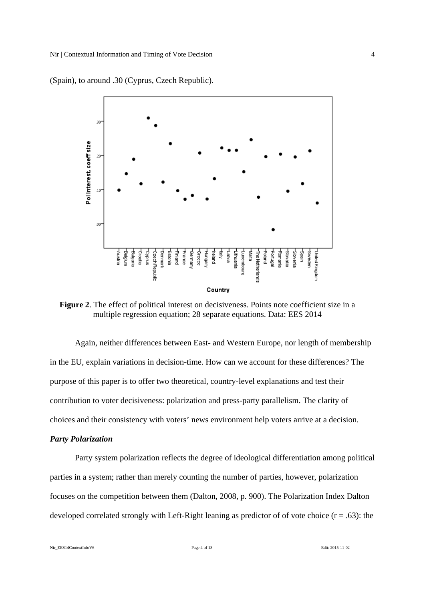

(Spain), to around .30 (Cyprus, Czech Republic).

**Figure 2**. The effect of political interest on decisiveness. Points note coefficient size in a multiple regression equation; 28 separate equations. Data: EES 2014

Again, neither differences between East- and Western Europe, nor length of membership in the EU, explain variations in decision-time. How can we account for these differences? The purpose of this paper is to offer two theoretical, country-level explanations and test their contribution to voter decisiveness: polarization and press-party parallelism. The clarity of choices and their consistency with voters' news environment help voters arrive at a decision.

#### *Party Polarization*

Party system polarization reflects the degree of ideological differentiation among political parties in a system; rather than merely counting the number of parties, however, polarization focuses on the competition between them (Dalton, 2008, p. 900). The Polarization Index Dalton developed correlated strongly with Left-Right leaning as predictor of of vote choice  $(r = .63)$ : the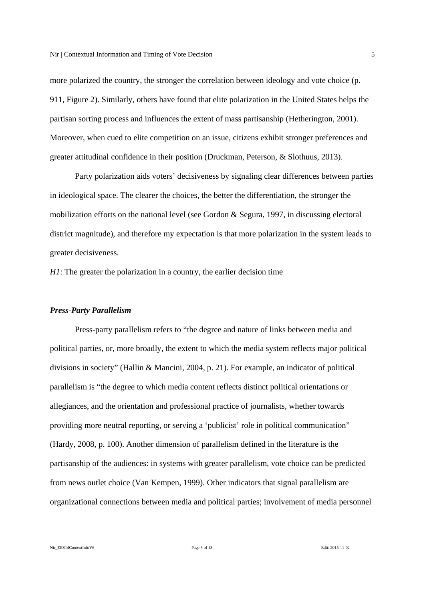more polarized the country, the stronger the correlation between ideology and vote choice (p. 911, Figure 2). Similarly, others have found that elite polarization in the United States helps the partisan sorting process and influences the extent of mass partisanship (Hetherington, 2001). Moreover, when cued to elite competition on an issue, citizens exhibit stronger preferences and greater attitudinal confidence in their position (Druckman, Peterson, & Slothuus, 2013).

Party polarization aids voters' decisiveness by signaling clear differences between parties in ideological space. The clearer the choices, the better the differentiation, the stronger the mobilization efforts on the national level (see Gordon & Segura, 1997, in discussing electoral district magnitude), and therefore my expectation is that more polarization in the system leads to greater decisiveness.

*H1*: The greater the polarization in a country, the earlier decision time

#### *Press-Party Parallelism*

 Press-party parallelism refers to "the degree and nature of links between media and political parties, or, more broadly, the extent to which the media system reflects major political divisions in society" (Hallin & Mancini, 2004, p. 21). For example, an indicator of political parallelism is "the degree to which media content reflects distinct political orientations or allegiances, and the orientation and professional practice of journalists, whether towards providing more neutral reporting, or serving a 'publicist' role in political communication" (Hardy, 2008, p. 100). Another dimension of parallelism defined in the literature is the partisanship of the audiences: in systems with greater parallelism, vote choice can be predicted from news outlet choice (Van Kempen, 1999). Other indicators that signal parallelism are organizational connections between media and political parties; involvement of media personnel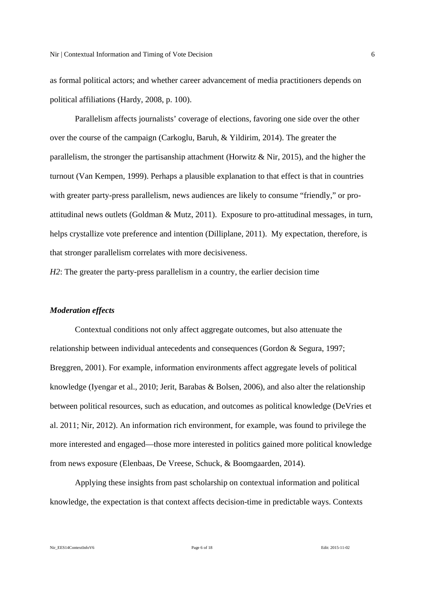as formal political actors; and whether career advancement of media practitioners depends on political affiliations (Hardy, 2008, p. 100).

 Parallelism affects journalists' coverage of elections, favoring one side over the other over the course of the campaign (Carkoglu, Baruh, & Yildirim, 2014). The greater the parallelism, the stronger the partisanship attachment (Horwitz & Nir, 2015), and the higher the turnout (Van Kempen, 1999). Perhaps a plausible explanation to that effect is that in countries with greater party-press parallelism, news audiences are likely to consume "friendly," or proattitudinal news outlets (Goldman & Mutz, 2011). Exposure to pro-attitudinal messages, in turn, helps crystallize vote preference and intention (Dilliplane, 2011). My expectation, therefore, is that stronger parallelism correlates with more decisiveness.

*H2*: The greater the party-press parallelism in a country, the earlier decision time

### *Moderation effects*

 Contextual conditions not only affect aggregate outcomes, but also attenuate the relationship between individual antecedents and consequences (Gordon & Segura, 1997; Breggren, 2001). For example, information environments affect aggregate levels of political knowledge (Iyengar et al., 2010; Jerit, Barabas & Bolsen, 2006), and also alter the relationship between political resources, such as education, and outcomes as political knowledge (DeVries et al. 2011; Nir, 2012). An information rich environment, for example, was found to privilege the more interested and engaged—those more interested in politics gained more political knowledge from news exposure (Elenbaas, De Vreese, Schuck, & Boomgaarden, 2014).

 Applying these insights from past scholarship on contextual information and political knowledge, the expectation is that context affects decision-time in predictable ways. Contexts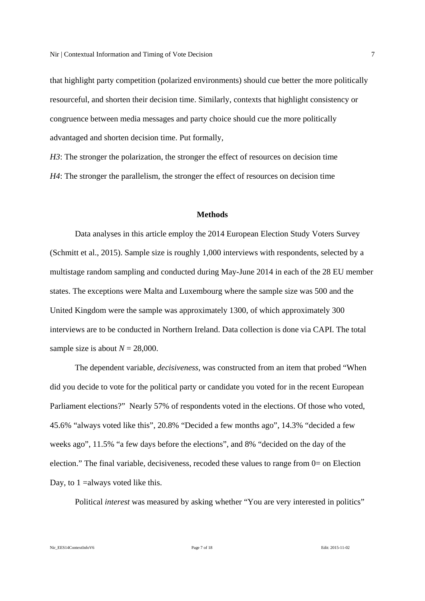that highlight party competition (polarized environments) should cue better the more politically resourceful, and shorten their decision time. Similarly, contexts that highlight consistency or congruence between media messages and party choice should cue the more politically advantaged and shorten decision time. Put formally,

*H3*: The stronger the polarization, the stronger the effect of resources on decision time *H4*: The stronger the parallelism, the stronger the effect of resources on decision time

# **Methods**

Data analyses in this article employ the 2014 European Election Study Voters Survey (Schmitt et al., 2015). Sample size is roughly 1,000 interviews with respondents, selected by a multistage random sampling and conducted during May-June 2014 in each of the 28 EU member states. The exceptions were Malta and Luxembourg where the sample size was 500 and the United Kingdom were the sample was approximately 1300, of which approximately 300 interviews are to be conducted in Northern Ireland. Data collection is done via CAPI. The total sample size is about  $N = 28,000$ .

The dependent variable, *decisiveness*, was constructed from an item that probed "When did you decide to vote for the political party or candidate you voted for in the recent European Parliament elections?" Nearly 57% of respondents voted in the elections. Of those who voted, 45.6% "always voted like this", 20.8% "Decided a few months ago", 14.3% "decided a few weeks ago", 11.5% "a few days before the elections", and 8% "decided on the day of the election." The final variable, decisiveness, recoded these values to range from 0= on Election Day, to 1 = always voted like this.

Political *interest* was measured by asking whether "You are very interested in politics"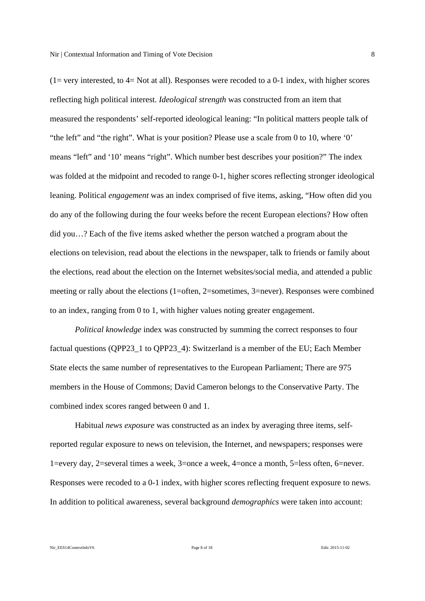reflecting high political interest. *Ideological strength* was constructed from an item that measured the respondents' self-reported ideological leaning: "In political matters people talk of "the left" and "the right". What is your position? Please use a scale from 0 to 10, where '0' means "left" and '10' means "right". Which number best describes your position?" The index was folded at the midpoint and recoded to range 0-1, higher scores reflecting stronger ideological leaning. Political *engagement* was an index comprised of five items, asking, "How often did you do any of the following during the four weeks before the recent European elections? How often did you…? Each of the five items asked whether the person watched a program about the elections on television, read about the elections in the newspaper, talk to friends or family about the elections, read about the election on the Internet websites/social media, and attended a public meeting or rally about the elections (1=often, 2=sometimes, 3=never). Responses were combined to an index, ranging from 0 to 1, with higher values noting greater engagement.

*Political knowledge* index was constructed by summing the correct responses to four factual questions (QPP23\_1 to QPP23\_4): Switzerland is a member of the EU; Each Member State elects the same number of representatives to the European Parliament; There are 975 members in the House of Commons; David Cameron belongs to the Conservative Party. The combined index scores ranged between 0 and 1.

Habitual *news exposure* was constructed as an index by averaging three items, selfreported regular exposure to news on television, the Internet, and newspapers; responses were 1=every day, 2=several times a week, 3=once a week, 4=once a month, 5=less often, 6=never. Responses were recoded to a 0-1 index, with higher scores reflecting frequent exposure to news. In addition to political awareness, several background *demographics* were taken into account: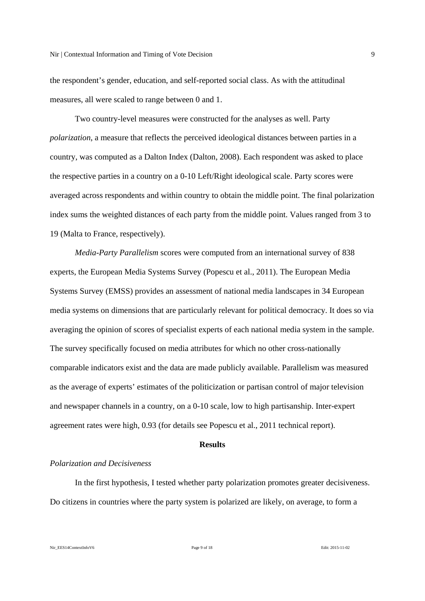the respondent's gender, education, and self-reported social class. As with the attitudinal measures, all were scaled to range between 0 and 1.

Two country-level measures were constructed for the analyses as well. Party *polarization*, a measure that reflects the perceived ideological distances between parties in a country, was computed as a Dalton Index (Dalton, 2008). Each respondent was asked to place the respective parties in a country on a 0-10 Left/Right ideological scale. Party scores were averaged across respondents and within country to obtain the middle point. The final polarization index sums the weighted distances of each party from the middle point. Values ranged from 3 to 19 (Malta to France, respectively).

*Media-Party Parallelism* scores were computed from an international survey of 838 experts, the European Media Systems Survey (Popescu et al., 2011). The European Media Systems Survey (EMSS) provides an assessment of national media landscapes in 34 European media systems on dimensions that are particularly relevant for political democracy. It does so via averaging the opinion of scores of specialist experts of each national media system in the sample. The survey specifically focused on media attributes for which no other cross-nationally comparable indicators exist and the data are made publicly available. Parallelism was measured as the average of experts' estimates of the politicization or partisan control of major television and newspaper channels in a country, on a 0-10 scale, low to high partisanship. Inter-expert agreement rates were high, 0.93 (for details see Popescu et al., 2011 technical report).

### **Results**

# *Polarization and Decisiveness*

In the first hypothesis, I tested whether party polarization promotes greater decisiveness. Do citizens in countries where the party system is polarized are likely, on average, to form a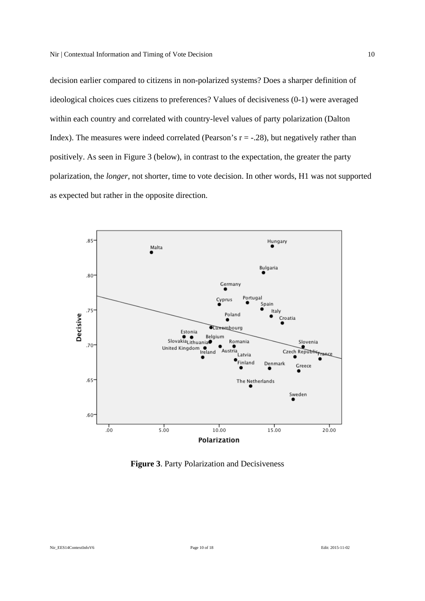decision earlier compared to citizens in non-polarized systems? Does a sharper definition of ideological choices cues citizens to preferences? Values of decisiveness (0-1) were averaged within each country and correlated with country-level values of party polarization (Dalton Index). The measures were indeed correlated (Pearson's  $r = -0.28$ ), but negatively rather than positively. As seen in Figure 3 (below), in contrast to the expectation, the greater the party polarization, the *longer*, not shorter, time to vote decision. In other words, H1 was not supported as expected but rather in the opposite direction.



**Figure 3**. Party Polarization and Decisiveness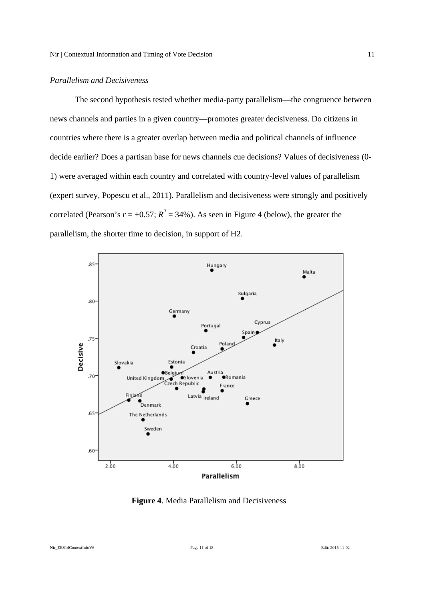## *Parallelism and Decisiveness*

The second hypothesis tested whether media-party parallelism—the congruence between news channels and parties in a given country—promotes greater decisiveness. Do citizens in countries where there is a greater overlap between media and political channels of influence decide earlier? Does a partisan base for news channels cue decisions? Values of decisiveness (0- 1) were averaged within each country and correlated with country-level values of parallelism (expert survey, Popescu et al., 2011). Parallelism and decisiveness were strongly and positively correlated (Pearson's  $r = +0.57$ ;  $R^2 = 34$ %). As seen in Figure 4 (below), the greater the parallelism, the shorter time to decision, in support of H2.



**Figure 4**. Media Parallelism and Decisiveness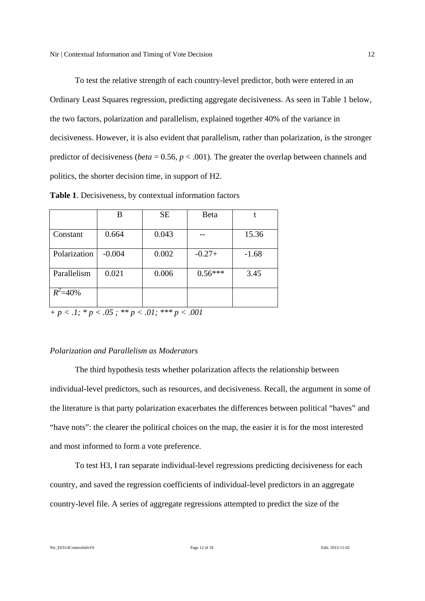To test the relative strength of each country-level predictor, both were entered in an Ordinary Least Squares regression, predicting aggregate decisiveness. As seen in Table 1 below, the two factors, polarization and parallelism, explained together 40% of the variance in decisiveness. However, it is also evident that parallelism, rather than polarization, is the stronger predictor of decisiveness (*beta* = 0.56, *p* < .001). The greater the overlap between channels and politics, the shorter decision time, in support of H2.

**Table 1**. Decisiveness, by contextual information factors

|              | В        | <b>SE</b> | Beta      |         |
|--------------|----------|-----------|-----------|---------|
| Constant     | 0.664    | 0.043     |           | 15.36   |
| Polarization | $-0.004$ | 0.002     | $-0.27+$  | $-1.68$ |
| Parallelism  | 0.021    | 0.006     | $0.56***$ | 3.45    |
| $R^2 = 40\%$ |          |           |           |         |

*+ p < .1; \* p < .05 ; \*\* p < .01; \*\*\* p < .001* 

### *Polarization and Parallelism as Moderators*

The third hypothesis tests whether polarization affects the relationship between individual-level predictors, such as resources, and decisiveness. Recall, the argument in some of the literature is that party polarization exacerbates the differences between political "haves" and "have nots": the clearer the political choices on the map, the easier it is for the most interested and most informed to form a vote preference.

To test H3, I ran separate individual-level regressions predicting decisiveness for each country, and saved the regression coefficients of individual-level predictors in an aggregate country-level file. A series of aggregate regressions attempted to predict the size of the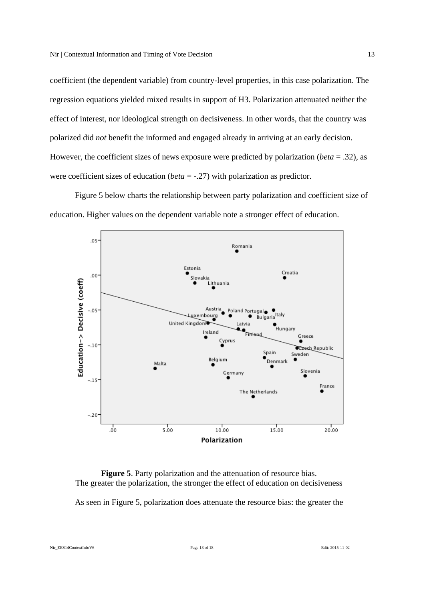coefficient (the dependent variable) from country-level properties, in this case polarization. The regression equations yielded mixed results in support of H3. Polarization attenuated neither the effect of interest, nor ideological strength on decisiveness. In other words, that the country was polarized did *not* benefit the informed and engaged already in arriving at an early decision. However, the coefficient sizes of news exposure were predicted by polarization (*beta* = .32), as were coefficient sizes of education (*beta* = -.27) with polarization as predictor.

Figure 5 below charts the relationship between party polarization and coefficient size of education. Higher values on the dependent variable note a stronger effect of education.



**Figure 5**. Party polarization and the attenuation of resource bias. The greater the polarization, the stronger the effect of education on decisiveness

As seen in Figure 5, polarization does attenuate the resource bias: the greater the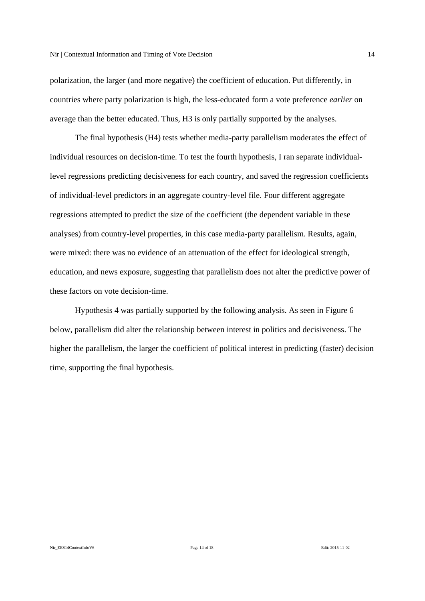polarization, the larger (and more negative) the coefficient of education. Put differently, in countries where party polarization is high, the less-educated form a vote preference *earlier* on average than the better educated. Thus, H3 is only partially supported by the analyses.

The final hypothesis (H4) tests whether media-party parallelism moderates the effect of individual resources on decision-time. To test the fourth hypothesis, I ran separate individuallevel regressions predicting decisiveness for each country, and saved the regression coefficients of individual-level predictors in an aggregate country-level file. Four different aggregate regressions attempted to predict the size of the coefficient (the dependent variable in these analyses) from country-level properties, in this case media-party parallelism. Results, again, were mixed: there was no evidence of an attenuation of the effect for ideological strength, education, and news exposure, suggesting that parallelism does not alter the predictive power of these factors on vote decision-time.

Hypothesis 4 was partially supported by the following analysis. As seen in Figure 6 below, parallelism did alter the relationship between interest in politics and decisiveness. The higher the parallelism, the larger the coefficient of political interest in predicting (faster) decision time, supporting the final hypothesis.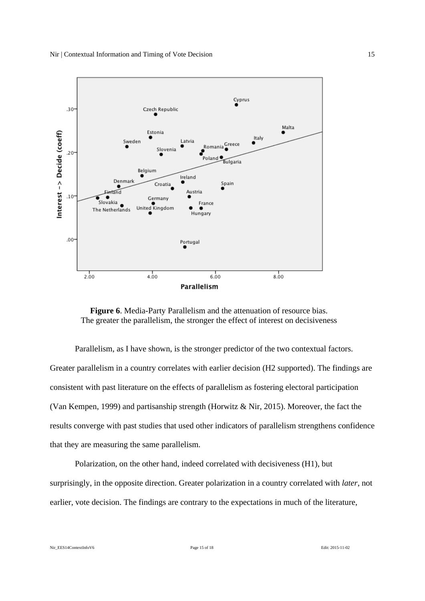

**Figure 6**. Media-Party Parallelism and the attenuation of resource bias. The greater the parallelism, the stronger the effect of interest on decisiveness

Parallelism, as I have shown, is the stronger predictor of the two contextual factors. Greater parallelism in a country correlates with earlier decision (H2 supported). The findings are consistent with past literature on the effects of parallelism as fostering electoral participation (Van Kempen, 1999) and partisanship strength (Horwitz & Nir, 2015). Moreover, the fact the results converge with past studies that used other indicators of parallelism strengthens confidence that they are measuring the same parallelism.

Polarization, on the other hand, indeed correlated with decisiveness (H1), but surprisingly, in the opposite direction. Greater polarization in a country correlated with *later*, not earlier, vote decision. The findings are contrary to the expectations in much of the literature,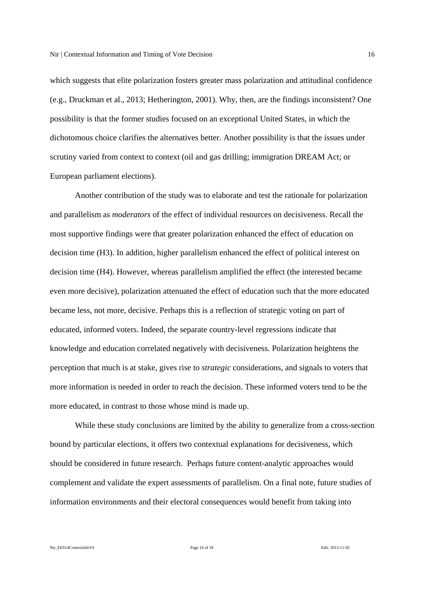which suggests that elite polarization fosters greater mass polarization and attitudinal confidence (e.g., Druckman et al., 2013; Hetherington, 2001). Why, then, are the findings inconsistent? One possibility is that the former studies focused on an exceptional United States, in which the dichotomous choice clarifies the alternatives better. Another possibility is that the issues under scrutiny varied from context to context (oil and gas drilling; immigration DREAM Act; or European parliament elections).

Another contribution of the study was to elaborate and test the rationale for polarization and parallelism as *moderators* of the effect of individual resources on decisiveness. Recall the most supportive findings were that greater polarization enhanced the effect of education on decision time (H3). In addition, higher parallelism enhanced the effect of political interest on decision time (H4). However, whereas parallelism amplified the effect (the interested became even more decisive), polarization attenuated the effect of education such that the more educated became less, not more, decisive. Perhaps this is a reflection of strategic voting on part of educated, informed voters. Indeed, the separate country-level regressions indicate that knowledge and education correlated negatively with decisiveness. Polarization heightens the perception that much is at stake, gives rise to *strategic* considerations, and signals to voters that more information is needed in order to reach the decision. These informed voters tend to be the more educated, in contrast to those whose mind is made up.

While these study conclusions are limited by the ability to generalize from a cross-section bound by particular elections, it offers two contextual explanations for decisiveness, which should be considered in future research. Perhaps future content-analytic approaches would complement and validate the expert assessments of parallelism. On a final note, future studies of information environments and their electoral consequences would benefit from taking into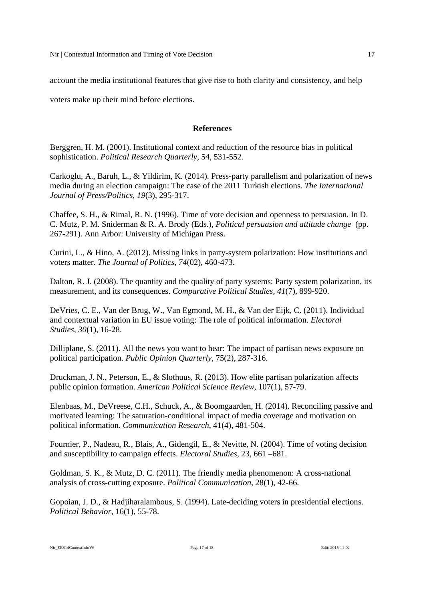account the media institutional features that give rise to both clarity and consistency, and help

voters make up their mind before elections.

# **References**

Berggren, H. M. (2001). Institutional context and reduction of the resource bias in political sophistication. *Political Research Quarterly*, 54, 531-552.

Carkoglu, A., Baruh, L., & Yildirim, K. (2014). Press-party parallelism and polarization of news media during an election campaign: The case of the 2011 Turkish elections. *The International Journal of Press/Politics*, *19*(3), 295-317.

Chaffee, S. H., & Rimal, R. N. (1996). Time of vote decision and openness to persuasion. In D. C. Mutz, P. M. Sniderman & R. A. Brody (Eds.), *Political persuasion and attitude change* (pp. 267-291). Ann Arbor: University of Michigan Press.

Curini, L., & Hino, A. (2012). Missing links in party-system polarization: How institutions and voters matter. *The Journal of Politics*, *74*(02), 460-473.

Dalton, R. J. (2008). The quantity and the quality of party systems: Party system polarization, its measurement, and its consequences. *Comparative Political Studies*, *41*(7), 899-920.

DeVries, C. E., Van der Brug, W., Van Egmond, M. H., & Van der Eijk, C. (2011). Individual and contextual variation in EU issue voting: The role of political information. *Electoral Studies*, *30*(1), 16-28.

Dilliplane, S. (2011). All the news you want to hear: The impact of partisan news exposure on political participation. *Public Opinion Quarterly*, 75(2), 287-316.

Druckman, J. N., Peterson, E., & Slothuus, R. (2013). How elite partisan polarization affects public opinion formation. *American Political Science Review*, 107(1), 57-79.

Elenbaas, M., DeVreese, C.H., Schuck, A., & Boomgaarden, H. (2014). Reconciling passive and motivated learning: The saturation-conditional impact of media coverage and motivation on political information. *Communication Research*, 41(4), 481-504.

Fournier, P., Nadeau, R., Blais, A., Gidengil, E., & Nevitte, N. (2004). Time of voting decision and susceptibility to campaign effects. *Electoral Studies*, 23, 661 –681.

Goldman, S. K., & Mutz, D. C. (2011). The friendly media phenomenon: A cross-national analysis of cross-cutting exposure. *Political Communication*, 28(1), 42-66.

Gopoian, J. D., & Hadjiharalambous, S. (1994). Late-deciding voters in presidential elections. *Political Behavior*, 16(1), 55-78.